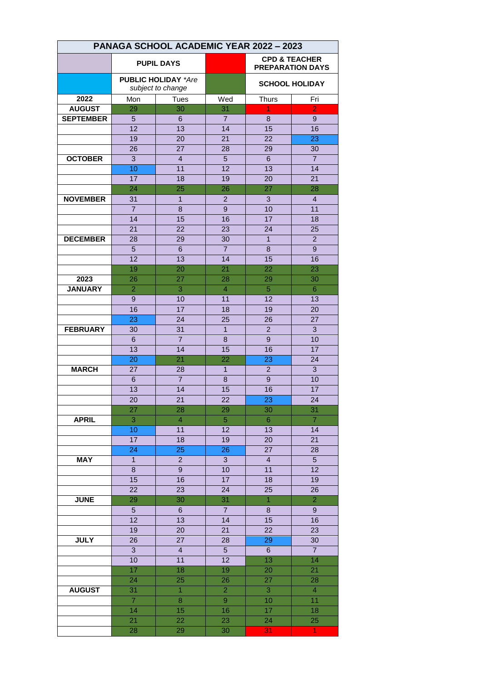| PANAGA SCHOOL ACADEMIC YEAR 2022 - 2023 |                                                 |                         |                       |                                                     |                 |  |
|-----------------------------------------|-------------------------------------------------|-------------------------|-----------------------|-----------------------------------------------------|-----------------|--|
|                                         | <b>PUPIL DAYS</b>                               |                         |                       | <b>CPD &amp; TEACHER</b><br><b>PREPARATION DAYS</b> |                 |  |
|                                         | <b>PUBLIC HOLIDAY *Are</b><br>subject to change |                         |                       | <b>SCHOOL HOLIDAY</b>                               |                 |  |
| 2022                                    | Mon                                             | <b>Tues</b>             | Wed                   | <b>Thurs</b>                                        | Fri             |  |
| <b>AUGUST</b>                           | 29                                              | 30                      | 31                    | 1                                                   | $\overline{2}$  |  |
| <b>SEPTEMBER</b>                        | 5                                               | 6                       | $\overline{7}$        | 8                                                   | 9               |  |
|                                         | $\overline{12}$                                 | 13                      | 14                    | $\overline{15}$                                     | 16              |  |
|                                         | 19                                              | 20                      | $\overline{21}$       | $\overline{22}$                                     | $\overline{23}$ |  |
|                                         | 26                                              | 27                      | 28                    | 29                                                  | 30              |  |
| <b>OCTOBER</b>                          | 3                                               | $\overline{\mathbf{4}}$ | 5                     | 6                                                   | $\overline{7}$  |  |
|                                         | 10                                              | 11                      | $\overline{12}$       | 13                                                  | 14              |  |
|                                         | 17                                              | 18                      | 19                    | 20                                                  | 21              |  |
|                                         | 24                                              | 25                      | 26                    | 27                                                  | 28              |  |
| <b>NOVEMBER</b>                         | 31                                              | $\mathbf{1}$            | $\overline{2}$        | 3                                                   | $\overline{4}$  |  |
|                                         | $\overline{7}$                                  | 8                       | 9                     | 10                                                  | 11              |  |
|                                         | 14                                              | 15                      | 16                    | 17                                                  | 18              |  |
|                                         | $\overline{21}$                                 | 22                      | 23                    | 24                                                  | 25              |  |
| <b>DECEMBER</b>                         | 28                                              | 29                      | 30                    | $\overline{1}$                                      | $\overline{2}$  |  |
|                                         | 5                                               | 6                       | $\overline{7}$        | 8                                                   | 9               |  |
|                                         | 12                                              | 13                      | 14                    | 15                                                  | 16              |  |
|                                         | 19                                              | 20                      | 21                    | 22                                                  | 23              |  |
| 2023                                    | 26                                              | 27                      | 28                    | 29                                                  | 30              |  |
| <b>JANUARY</b>                          | $\overline{2}$                                  | $\overline{3}$          | $\overline{4}$        | $\overline{5}$                                      | 6               |  |
|                                         | 9                                               | 10                      | 11                    | 12                                                  | 13              |  |
|                                         | 16                                              | 17                      | 18                    | 19                                                  | 20              |  |
|                                         | 23                                              | 24                      | 25                    | 26                                                  | 27              |  |
| <b>FEBRUARY</b>                         | 30                                              | 31                      | $\mathbf{1}$          | $\overline{2}$                                      | 3               |  |
|                                         | $6\phantom{1}$                                  | $\overline{7}$          | 8                     | 9                                                   | 10              |  |
|                                         | 13                                              | 14                      | 15<br>$\overline{22}$ | 16                                                  | 17              |  |
| <b>MARCH</b>                            | 20<br>27                                        | 21<br>28                | $\mathbf{1}$          | 23<br>$\overline{2}$                                | 24              |  |
|                                         |                                                 | $\overline{7}$          | 8                     | 9                                                   | 3               |  |
|                                         | $6\phantom{1}$<br>13                            | 14                      | 15                    | 16                                                  | 10<br>17        |  |
|                                         | 20                                              | $\overline{21}$         | 22                    | 23                                                  | 24              |  |
|                                         | 27                                              | 28                      | 29                    | 30                                                  | 31              |  |
| <b>APRIL</b>                            | 3                                               | $\overline{4}$          | 5 <sub>5</sub>        | 6                                                   | $\overline{7}$  |  |
|                                         | 10                                              | 11                      | $\overline{12}$       | 13                                                  | 14              |  |
|                                         | 17                                              | 18                      | 19                    | 20                                                  | 21              |  |
|                                         | 24                                              | 25                      | 26                    | 27                                                  | 28              |  |
| <b>MAY</b>                              | $\overline{1}$                                  | $\overline{a}$          | $\mathbf{3}$          | $\overline{4}$                                      | $5\phantom{.}$  |  |
|                                         | 8                                               | $\overline{9}$          | 10                    | 11                                                  | 12              |  |
|                                         | 15                                              | 16                      | 17                    | 18                                                  | 19              |  |
|                                         | 22                                              | 23                      | 24                    | 25                                                  | 26              |  |
| <b>JUNE</b>                             | 29                                              | 30                      | 31                    | $\ddagger$                                          | $\overline{2}$  |  |
|                                         | $\overline{5}$                                  | 6                       | $\overline{7}$        | 8                                                   | $9\,$           |  |
|                                         | $\overline{12}$                                 | 13                      | 14                    | 15                                                  | 16              |  |
|                                         | 19                                              | 20                      | 21                    | 22                                                  | 23              |  |
| <b>JULY</b>                             | 26                                              | 27                      | 28                    | 29                                                  | 30              |  |
|                                         | 3 <sup>1</sup>                                  | $\overline{4}$          | $5\phantom{.0}$       | 6                                                   | $\overline{7}$  |  |
|                                         | 10                                              | 11                      | $\overline{12}$       | 13                                                  | $\overline{14}$ |  |
|                                         | 17                                              | 18                      | 19                    | 20                                                  | 21              |  |
|                                         | 24                                              | 25                      | 26                    | 27                                                  | 28              |  |
| <b>AUGUST</b>                           | 31                                              | $\overline{1}$          | $\overline{2}$        | $\overline{3}$                                      | $\overline{4}$  |  |
|                                         | $\overline{7}$                                  | $\overline{8}$          | $9\,$                 | 10                                                  | 11              |  |
|                                         | 14                                              | 15                      | 16                    | 17                                                  | 18              |  |
|                                         | 21                                              | 22                      | 23                    | 24                                                  | 25              |  |
|                                         | 28                                              | 29                      | 30                    | 31                                                  | 1               |  |